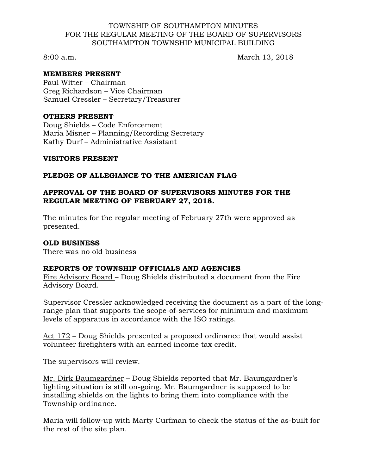#### TOWNSHIP OF SOUTHAMPTON MINUTES FOR THE REGULAR MEETING OF THE BOARD OF SUPERVISORS SOUTHAMPTON TOWNSHIP MUNICIPAL BUILDING

8:00 a.m. March 13, 2018

## **MEMBERS PRESENT**

Paul Witter – Chairman Greg Richardson – Vice Chairman Samuel Cressler – Secretary/Treasurer

#### **OTHERS PRESENT**

Doug Shields – Code Enforcement Maria Misner – Planning/Recording Secretary Kathy Durf – Administrative Assistant

#### **VISITORS PRESENT**

## **PLEDGE OF ALLEGIANCE TO THE AMERICAN FLAG**

## **APPROVAL OF THE BOARD OF SUPERVISORS MINUTES FOR THE REGULAR MEETING OF FEBRUARY 27, 2018.**

The minutes for the regular meeting of February 27th were approved as presented.

## **OLD BUSINESS**

There was no old business

## **REPORTS OF TOWNSHIP OFFICIALS AND AGENCIES**

Fire Advisory Board – Doug Shields distributed a document from the Fire Advisory Board.

Supervisor Cressler acknowledged receiving the document as a part of the longrange plan that supports the scope-of-services for minimum and maximum levels of apparatus in accordance with the ISO ratings.

Act 172 – Doug Shields presented a proposed ordinance that would assist volunteer firefighters with an earned income tax credit.

The supervisors will review.

Mr. Dirk Baumgardner – Doug Shields reported that Mr. Baumgardner's lighting situation is still on-going. Mr. Baumgardner is supposed to be installing shields on the lights to bring them into compliance with the Township ordinance.

Maria will follow-up with Marty Curfman to check the status of the as-built for the rest of the site plan.